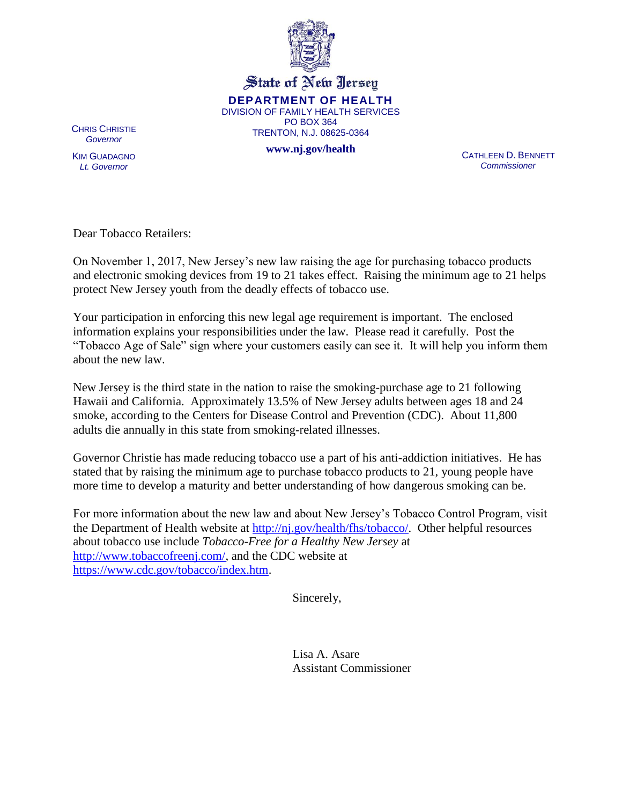

State of New Jersey **DEPARTMENT OF HEALTH** DIVISION OF FAMILY HEALTH SERVICES PO BOX 364 TRENTON, N.J. 08625-0364

**www.nj.gov/health**

CHRIS CHRISTIE *Governor*

KIM GUADAGNO *Lt. Governor*

CATHLEEN D. BENNETT *Commissioner*

Dear Tobacco Retailers:

On November 1, 2017, New Jersey's new law raising the age for purchasing tobacco products and electronic smoking devices from 19 to 21 takes effect. Raising the minimum age to 21 helps protect New Jersey youth from the deadly effects of tobacco use.

Your participation in enforcing this new legal age requirement is important. The enclosed information explains your responsibilities under the law. Please read it carefully. Post the "Tobacco Age of Sale" sign where your customers easily can see it. It will help you inform them about the new law.

New Jersey is the third state in the nation to raise the smoking-purchase age to 21 following Hawaii and California. Approximately 13.5% of New Jersey adults between ages 18 and 24 smoke, according to the Centers for Disease Control and Prevention (CDC). About 11,800 adults die annually in this state from smoking-related illnesses.

Governor Christie has made reducing tobacco use a part of his anti-addiction initiatives. He has stated that by raising the minimum age to purchase tobacco products to 21, young people have more time to develop a maturity and better understanding of how dangerous smoking can be.

For more information about the new law and about New Jersey's Tobacco Control Program, visit the Department of Health website at [http://nj.gov/health/fhs/tobacco/.](http://nj.gov/health/fhs/tobacco/) Other helpful resources about tobacco use include *Tobacco-Free for a Healthy New Jersey* at [http://www.tobaccofreenj.com/,](http://www.tobaccofreenj.com/) and the CDC website at [https://www.cdc.gov/tobacco/index.htm.](https://www.cdc.gov/tobacco/index.htm)

Sincerely,

Lisa A. Asare Assistant Commissioner